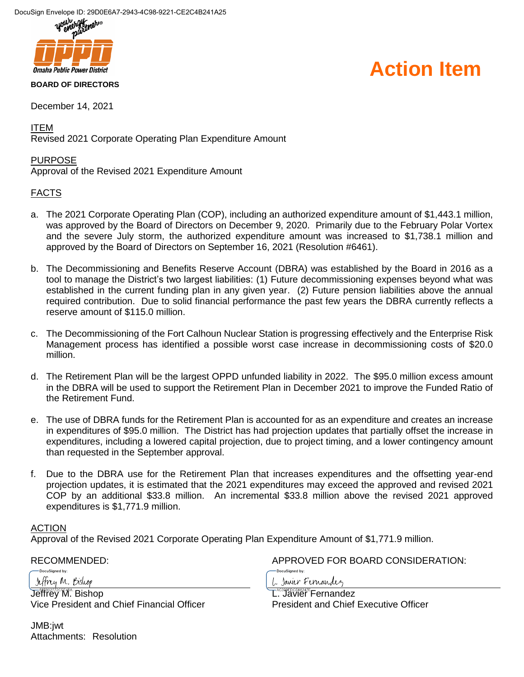

December 14, 2021

ITEM

Revised 2021 Corporate Operating Plan Expenditure Amount

#### PURPOSE

Approval of the Revised 2021 Expenditure Amount

#### FACTS

- a. The 2021 Corporate Operating Plan (COP), including an authorized expenditure amount of \$1,443.1 million, was approved by the Board of Directors on December 9, 2020. Primarily due to the February Polar Vortex and the severe July storm, the authorized expenditure amount was increased to \$1,738.1 million and approved by the Board of Directors on September 16, 2021 (Resolution #6461).
- b. The Decommissioning and Benefits Reserve Account (DBRA) was established by the Board in 2016 as a tool to manage the District's two largest liabilities: (1) Future decommissioning expenses beyond what was established in the current funding plan in any given year. (2) Future pension liabilities above the annual required contribution. Due to solid financial performance the past few years the DBRA currently reflects a reserve amount of \$115.0 million.
- c. The Decommissioning of the Fort Calhoun Nuclear Station is progressing effectively and the Enterprise Risk Management process has identified a possible worst case increase in decommissioning costs of \$20.0 million.
- d. The Retirement Plan will be the largest OPPD unfunded liability in 2022. The \$95.0 million excess amount in the DBRA will be used to support the Retirement Plan in December 2021 to improve the Funded Ratio of the Retirement Fund.
- e. The use of DBRA funds for the Retirement Plan is accounted for as an expenditure and creates an increase in expenditures of \$95.0 million. The District has had projection updates that partially offset the increase in expenditures, including a lowered capital projection, due to project timing, and a lower contingency amount than requested in the September approval.
- f. Due to the DBRA use for the Retirement Plan that increases expenditures and the offsetting year-end projection updates, it is estimated that the 2021 expenditures may exceed the approved and revised 2021 COP by an additional \$33.8 million. An incremental \$33.8 million above the revised 2021 approved expenditures is \$1,771.9 million.

#### ACTION

Approval of the Revised 2021 Corporate Operating Plan Expenditure Amount of \$1,771.9 million.

Jeffrey M. Bishop

DocuSianed by:

Jeffrey<sup>M</sup>. Bishop Vice President and Chief Financial Officer

JMB:jwt Attachments: Resolution

RECOMMENDED: APPROVED FOR BOARD CONSIDERATION:

1. Javier Fernandez

DocuSigned by:

L<sup>^c39FDCE56247E</sup>Fernandez President and Chief Executive Officer

### **Action Item**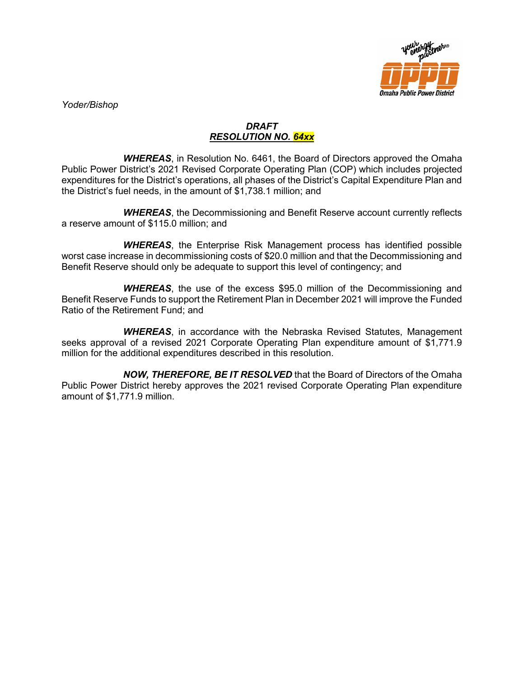

*Yoder/Bishop*

#### *DRAFT RESOLUTION NO. 64xx*

*WHEREAS*, in Resolution No. 6461, the Board of Directors approved the Omaha Public Power District's 2021 Revised Corporate Operating Plan (COP) which includes projected expenditures for the District's operations, all phases of the District's Capital Expenditure Plan and the District's fuel needs, in the amount of \$1,738.1 million; and

*WHEREAS*, the Decommissioning and Benefit Reserve account currently reflects a reserve amount of \$115.0 million; and

*WHEREAS*, the Enterprise Risk Management process has identified possible worst case increase in decommissioning costs of \$20.0 million and that the Decommissioning and Benefit Reserve should only be adequate to support this level of contingency; and

*WHEREAS*, the use of the excess \$95.0 million of the Decommissioning and Benefit Reserve Funds to support the Retirement Plan in December 2021 will improve the Funded Ratio of the Retirement Fund; and

*WHEREAS*, in accordance with the Nebraska Revised Statutes, Management seeks approval of a revised 2021 Corporate Operating Plan expenditure amount of \$1,771.9 million for the additional expenditures described in this resolution.

*NOW, THEREFORE, BE IT RESOLVED* that the Board of Directors of the Omaha Public Power District hereby approves the 2021 revised Corporate Operating Plan expenditure amount of \$1,771.9 million.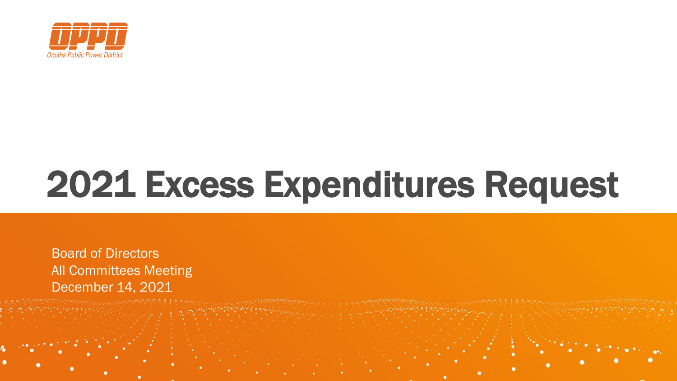

# 2021 Excess Expenditures Request

**Board of Directors** All Committees Meeting December 14, 2021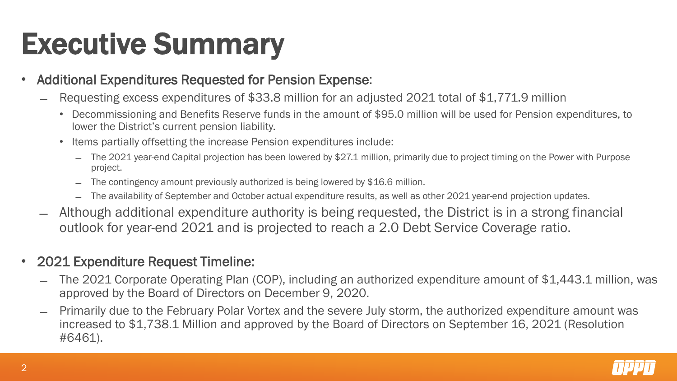## Executive Summary

- Additional Expenditures Requested for Pension Expense:
	- Requesting excess expenditures of \$33.8 million for an adjusted 2021 total of \$1,771.9 million
		- Decommissioning and Benefits Reserve funds in the amount of \$95.0 million will be used for Pension expenditures, to lower the District's current pension liability.
		- Items partially offsetting the increase Pension expenditures include:
			- ̶ The 2021 year-end Capital projection has been lowered by \$27.1 million, primarily due to project timing on the Power with Purpose project.
			- The contingency amount previously authorized is being lowered by \$16.6 million.
			- ̶ The availability of September and October actual expenditure results, as well as other 2021 year-end projection updates.
	- ̶ Although additional expenditure authority is being requested, the District is in a strong financial outlook for year-end 2021 and is projected to reach a 2.0 Debt Service Coverage ratio.

### • 2021 Expenditure Request Timeline:

- ̶ The 2021 Corporate Operating Plan (COP), including an authorized expenditure amount of \$1,443.1 million, was approved by the Board of Directors on December 9, 2020.
- ̶ Primarily due to the February Polar Vortex and the severe July storm, the authorized expenditure amount was increased to \$1,738.1 Million and approved by the Board of Directors on September 16, 2021 (Resolution #6461).

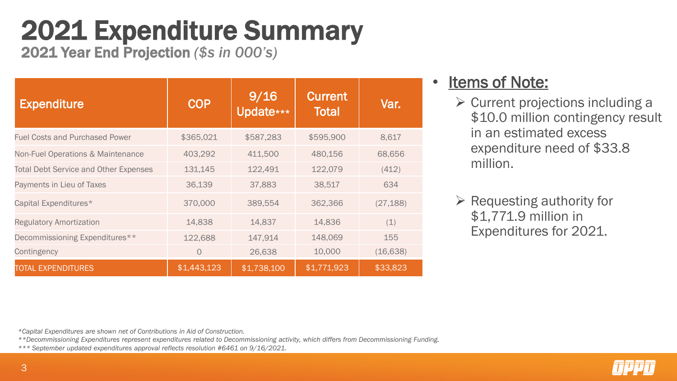## 2021 Expenditure Summary

2021 Year End Projection *(\$s in 000's)*

| <b>Expenditure</b>                           | <b>COP</b>  | 9/16<br>Update*** | <b>Current</b><br><b>Total</b> | Var.      |
|----------------------------------------------|-------------|-------------------|--------------------------------|-----------|
| <b>Fuel Costs and Purchased Power</b>        | \$365,021   | \$587,283         | \$595,900                      | 8,617     |
| Non-Fuel Operations & Maintenance            | 403,292     | 411,500           | 480,156                        | 68,656    |
| <b>Total Debt Service and Other Expenses</b> | 131,145     | 122,491           | 122,079                        | (412)     |
| Payments in Lieu of Taxes                    | 36,139      | 37,883            | 38,517                         | 634       |
| Capital Expenditures*                        | 370,000     | 389,554           | 362,366                        | (27, 188) |
| <b>Regulatory Amortization</b>               | 14,838      | 14,837            | 14,836                         | (1)       |
| Decommissioning Expenditures**               | 122,688     | 147,914           | 148,069                        | 155       |
| Contingency                                  | $\circ$     | 26,638            | 10,000                         | (16, 638) |
| <b>TOTAL EXPENDITURES</b>                    | \$1,443,123 | \$1,738,100       | \$1,771,923                    | \$33,823  |

### Items of Note:

- $\triangleright$  Current projections including a \$10.0 million contingency result in an estimated excess expenditure need of \$33.8 million.
- $\triangleright$  Requesting authority for \$1,771.9 million in Expenditures for 2021.

*\*Capital Expenditures are shown net of Contributions in Aid of Construction.*

*\*\*Decommissioning Expenditures represent expenditures related to Decommissioning activity, which differs from Decommissioning Funding.*

*\*\*\* September updated expenditures approval reflects resolution #6461 on 9/16/2021.*

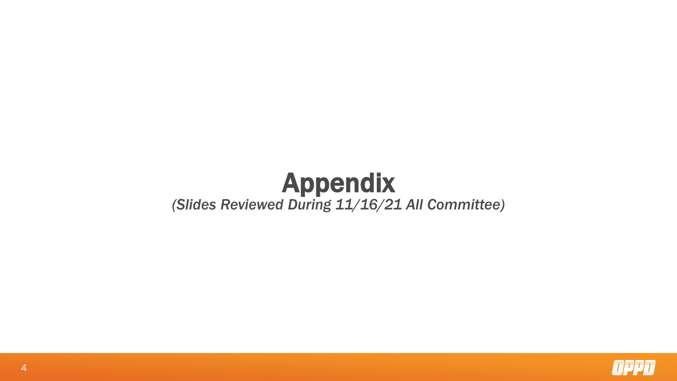### Appendix *(Slides Reviewed During 11/16/21 All Committee)*

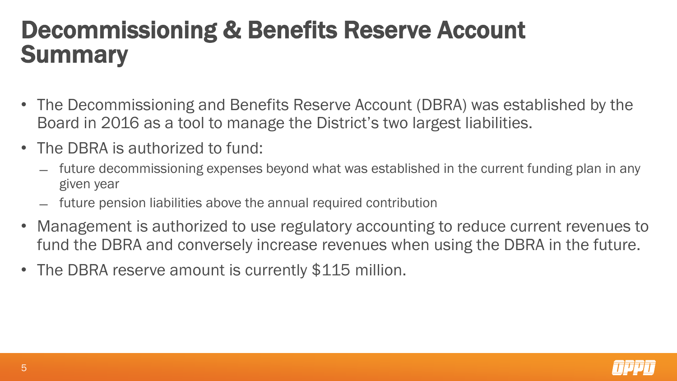## Decommissioning & Benefits Reserve Account **Summary**

- The Decommissioning and Benefits Reserve Account (DBRA) was established by the Board in 2016 as a tool to manage the District's two largest liabilities.
- The DBRA is authorized to fund:
	- ̶ future decommissioning expenses beyond what was established in the current funding plan in any given year
	- ̶ future pension liabilities above the annual required contribution
- Management is authorized to use regulatory accounting to reduce current revenues to fund the DBRA and conversely increase revenues when using the DBRA in the future.
- The DBRA reserve amount is currently \$115 million.

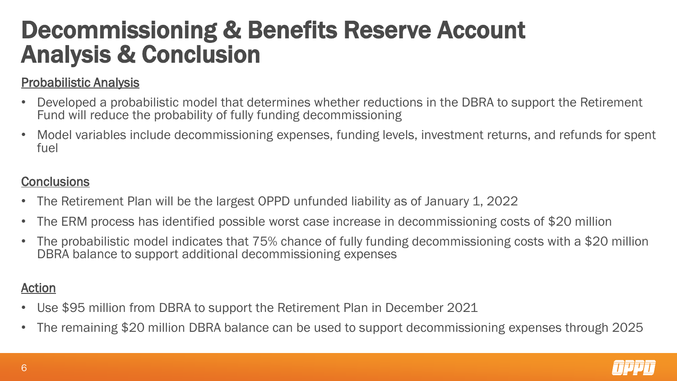## Decommissioning & Benefits Reserve Account Analysis & Conclusion

#### Probabilistic Analysis

- Developed a probabilistic model that determines whether reductions in the DBRA to support the Retirement Fund will reduce the probability of fully funding decommissioning
- Model variables include decommissioning expenses, funding levels, investment returns, and refunds for spent fuel

#### **Conclusions**

- The Retirement Plan will be the largest OPPD unfunded liability as of January 1, 2022
- The ERM process has identified possible worst case increase in decommissioning costs of \$20 million
- The probabilistic model indicates that 75% chance of fully funding decommissioning costs with a \$20 million DBRA balance to support additional decommissioning expenses

#### Action

- Use \$95 million from DBRA to support the Retirement Plan in December 2021
- The remaining \$20 million DBRA balance can be used to support decommissioning expenses through 2025